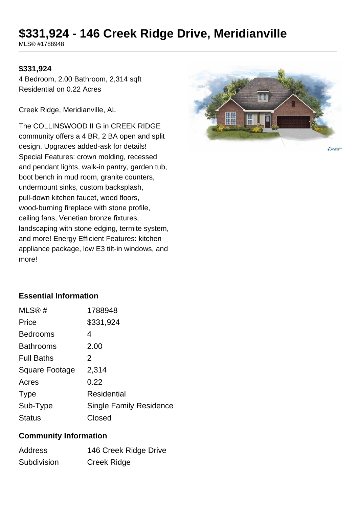# **\$331,924 - 146 Creek Ridge Drive, Meridianville**

MLS® #1788948

#### **\$331,924**

4 Bedroom, 2.00 Bathroom, 2,314 sqft Residential on 0.22 Acres

Creek Ridge, Meridianville, AL

The COLLINSWOOD II G in CREEK RIDGE community offers a 4 BR, 2 BA open and split design. Upgrades added-ask for details! Special Features: crown molding, recessed and pendant lights, walk-in pantry, garden tub, boot bench in mud room, granite counters, undermount sinks, custom backsplash, pull-down kitchen faucet, wood floors, wood-burning fireplace with stone profile, ceiling fans, Venetian bronze fixtures, landscaping with stone edging, termite system, and more! Energy Efficient Features: kitchen appliance package, low E3 tilt-in windows, and more!



**Ovalley** 

## **Essential Information**

| MLS®#                 | 1788948                        |
|-----------------------|--------------------------------|
| Price                 | \$331,924                      |
| <b>Bedrooms</b>       | 4                              |
| <b>Bathrooms</b>      | 2.00                           |
| <b>Full Baths</b>     | 2                              |
| <b>Square Footage</b> | 2,314                          |
| Acres                 | 0.22                           |
| <b>Type</b>           | Residential                    |
| Sub-Type              | <b>Single Family Residence</b> |
| <b>Status</b>         | Closed                         |

#### **Community Information**

| <b>Address</b> | 146 Creek Ridge Drive |
|----------------|-----------------------|
| Subdivision    | Creek Ridge           |